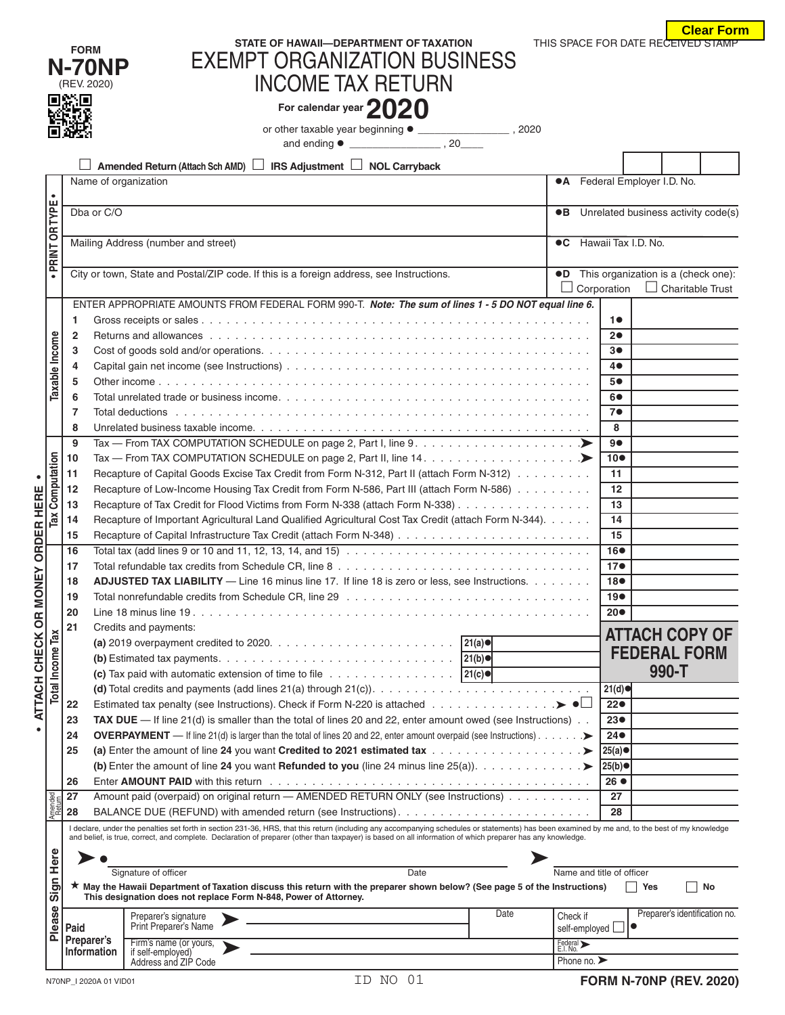|                                  | <b>Clear Form</b> |
|----------------------------------|-------------------|
| IS SPACE FOR DATE RECEIVED STAMP |                   |

|                                  |                         |                                  |                                                                                                                                                                                                                               |                       |                                        |                                                                   |                               | <b>Clear Fori</b> |  |  |
|----------------------------------|-------------------------|----------------------------------|-------------------------------------------------------------------------------------------------------------------------------------------------------------------------------------------------------------------------------|-----------------------|----------------------------------------|-------------------------------------------------------------------|-------------------------------|-------------------|--|--|
|                                  |                         | <b>FORM</b>                      | STATE OF HAWAII-DEPARTMENT OF TAXATION                                                                                                                                                                                        |                       | THIS SPACE FOR DATE RECEIVED STAMP     |                                                                   |                               |                   |  |  |
|                                  |                         | <b>N-70NP</b>                    | <b>EXEMPT ORGANIZATION BUSINESS</b>                                                                                                                                                                                           |                       |                                        |                                                                   |                               |                   |  |  |
|                                  |                         | (REV. 2020)                      | <b>INCOME TAX RETURN</b>                                                                                                                                                                                                      |                       |                                        |                                                                   |                               |                   |  |  |
|                                  |                         |                                  | For calendar year $2020$                                                                                                                                                                                                      |                       |                                        |                                                                   |                               |                   |  |  |
|                                  |                         |                                  |                                                                                                                                                                                                                               |                       |                                        |                                                                   |                               |                   |  |  |
|                                  |                         |                                  |                                                                                                                                                                                                                               |                       |                                        |                                                                   |                               |                   |  |  |
|                                  |                         |                                  | <b>IRS Adjustment <math>\Box</math> NOL Carryback</b><br>Amended Return (Attach Sch AMD)                                                                                                                                      |                       |                                        |                                                                   |                               |                   |  |  |
|                                  |                         | Name of organization             |                                                                                                                                                                                                                               |                       | <b>•A</b> Federal Employer I.D. No.    |                                                                   |                               |                   |  |  |
|                                  | $\bullet$               | Dba or C/O                       |                                                                                                                                                                                                                               |                       | •B Unrelated business activity code(s) |                                                                   |                               |                   |  |  |
|                                  |                         |                                  |                                                                                                                                                                                                                               |                       |                                        |                                                                   |                               |                   |  |  |
|                                  | PRINT OR TYPE           |                                  | Mailing Address (number and street)                                                                                                                                                                                           |                       | <b>C</b> Hawaii Tax I.D. No.           |                                                                   |                               |                   |  |  |
|                                  |                         |                                  |                                                                                                                                                                                                                               |                       |                                        |                                                                   |                               |                   |  |  |
|                                  |                         |                                  | City or town, State and Postal/ZIP code. If this is a foreign address, see Instructions.                                                                                                                                      |                       | $\Box$ Corporation                     | •D This organization is a (check one):<br>$\Box$ Charitable Trust |                               |                   |  |  |
|                                  |                         |                                  | ENTER APPROPRIATE AMOUNTS FROM FEDERAL FORM 990-T. Note: The sum of lines 1 - 5 DO NOT equal line 6.                                                                                                                          |                       |                                        |                                                                   |                               |                   |  |  |
|                                  |                         | 1                                |                                                                                                                                                                                                                               |                       | 10                                     |                                                                   |                               |                   |  |  |
|                                  |                         | $\mathbf{2}$                     |                                                                                                                                                                                                                               |                       | 20                                     |                                                                   |                               |                   |  |  |
|                                  | Taxable Income          | 3                                |                                                                                                                                                                                                                               |                       | 3●                                     |                                                                   |                               |                   |  |  |
|                                  |                         | 4<br>5                           |                                                                                                                                                                                                                               |                       | 4●<br>5●                               |                                                                   |                               |                   |  |  |
|                                  |                         | 6                                |                                                                                                                                                                                                                               |                       | 6●                                     |                                                                   |                               |                   |  |  |
|                                  |                         | 7                                |                                                                                                                                                                                                                               |                       | 7 <sup>o</sup>                         |                                                                   |                               |                   |  |  |
|                                  |                         | 8                                |                                                                                                                                                                                                                               |                       | 8                                      |                                                                   |                               |                   |  |  |
|                                  |                         | 9                                | Tax — From TAX COMPUTATION SCHEDULE on page 2, Part I, line 9. $\dots \dots \dots \dots \dots \dots \dots$                                                                                                                    |                       | 9●                                     |                                                                   |                               |                   |  |  |
|                                  |                         | 10                               |                                                                                                                                                                                                                               |                       | 10 <sup>o</sup>                        |                                                                   |                               |                   |  |  |
| Computation<br><b>ORDER HERE</b> |                         | 11                               | Recapture of Capital Goods Excise Tax Credit from Form N-312, Part II (attach Form N-312)                                                                                                                                     |                       | 11                                     |                                                                   |                               |                   |  |  |
|                                  |                         | 12<br>13                         | Recapture of Low-Income Housing Tax Credit from Form N-586, Part III (attach Form N-586)<br>Recapture of Tax Credit for Flood Victims from Form N-338 (attach Form N-338)                                                     |                       | 12<br>13                               |                                                                   |                               |                   |  |  |
|                                  | Tax                     | 14                               | Recapture of Important Agricultural Land Qualified Agricultural Cost Tax Credit (attach Form N-344).                                                                                                                          |                       | 14                                     |                                                                   |                               |                   |  |  |
|                                  |                         | 15                               |                                                                                                                                                                                                                               |                       | 15                                     |                                                                   |                               |                   |  |  |
|                                  |                         | 16                               |                                                                                                                                                                                                                               |                       | 16 <sup>o</sup>                        |                                                                   |                               |                   |  |  |
| 모                                |                         | 17                               |                                                                                                                                                                                                                               |                       | 17 <sub>•</sub>                        |                                                                   |                               |                   |  |  |
|                                  |                         | 18                               | ADJUSTED TAX LIABILITY - Line 16 minus line 17. If line 18 is zero or less, see Instructions.                                                                                                                                 |                       | 18 <sup>o</sup>                        |                                                                   |                               |                   |  |  |
|                                  |                         | 19<br>20                         |                                                                                                                                                                                                                               |                       | 19 <sub>•</sub><br>$20\bullet$         |                                                                   |                               |                   |  |  |
|                                  |                         | 21                               | Credits and payments:                                                                                                                                                                                                         |                       |                                        |                                                                   |                               |                   |  |  |
|                                  |                         |                                  |                                                                                                                                                                                                                               |                       |                                        |                                                                   | <b>ATTACH COPY OF</b>         |                   |  |  |
|                                  | <b>Total Income Tax</b> |                                  |                                                                                                                                                                                                                               |                       |                                        |                                                                   | <b>FEDERAL FORM</b>           |                   |  |  |
|                                  |                         |                                  | (c) Tax paid with automatic extension of time to file $\ldots \ldots \ldots \ldots \ldots$   21(c) $\bullet$                                                                                                                  |                       |                                        |                                                                   | 990-T                         |                   |  |  |
| ATTACH CHECK OR MON              |                         |                                  |                                                                                                                                                                                                                               |                       | 21(d)                                  |                                                                   |                               |                   |  |  |
|                                  |                         | 22<br>23                         | Estimated tax penalty (see Instructions). Check if Form N-220 is attached $\blacktriangleright \bullet \Box$<br>TAX DUE $-$ If line 21(d) is smaller than the total of lines 20 and 22, enter amount owed (see Instructions). |                       | 22●<br>23 <sub>•</sub>                 |                                                                   |                               |                   |  |  |
|                                  |                         | 24                               | <b>OVERPAYMENT</b> — If line 21(d) is larger than the total of lines 20 and 22, enter amount overpaid (see Instructions). $\ldots$ .                                                                                          |                       | $24\bullet$                            |                                                                   |                               |                   |  |  |
|                                  |                         | 25                               |                                                                                                                                                                                                                               |                       | $25(a)$ ●                              |                                                                   |                               |                   |  |  |
|                                  |                         |                                  |                                                                                                                                                                                                                               |                       | 25(b)●                                 |                                                                   |                               |                   |  |  |
|                                  |                         | 26                               |                                                                                                                                                                                                                               |                       | $26$ $\bullet$                         |                                                                   |                               |                   |  |  |
|                                  | Amended<br>Return       | 27                               | Amount paid (overpaid) on original return - AMENDED RETURN ONLY (see Instructions)                                                                                                                                            |                       | 27                                     |                                                                   |                               |                   |  |  |
|                                  |                         | 28                               | I declare, under the penalties set forth in section 231-36, HRS, that this return (including any accompanying schedules or statements) has been examined by me and, to the best of my knowledge                               |                       | 28                                     |                                                                   |                               |                   |  |  |
|                                  |                         |                                  | and belief, is true, correct, and complete. Declaration of preparer (other than taxpayer) is based on all information of which preparer has any knowledge.                                                                    |                       |                                        |                                                                   |                               |                   |  |  |
|                                  | Here                    |                                  |                                                                                                                                                                                                                               |                       |                                        |                                                                   |                               |                   |  |  |
|                                  |                         |                                  | Signature of officer<br>Date                                                                                                                                                                                                  |                       | Name and title of officer              |                                                                   |                               |                   |  |  |
|                                  | Sign                    |                                  | ★ May the Hawaii Department of Taxation discuss this return with the preparer shown below? (See page 5 of the Instructions)<br>This designation does not replace Form N-848, Power of Attorney.                               |                       |                                        | Yes<br>$\Box$                                                     | No                            |                   |  |  |
|                                  |                         |                                  | Date<br>Preparer's signature                                                                                                                                                                                                  | Check if              |                                        |                                                                   | Preparer's identification no. |                   |  |  |
|                                  | Please                  | Paid                             | Print Preparer's Name                                                                                                                                                                                                         |                       | self-employed $\Box$                   |                                                                   |                               |                   |  |  |
|                                  |                         | Preparer's<br><b>Information</b> | Firm's name (or yours,<br>if self-employed)                                                                                                                                                                                   | Federal ><br>E.I. No. |                                        |                                                                   |                               |                   |  |  |
|                                  |                         |                                  | Address and ZIP Code                                                                                                                                                                                                          |                       | Phone no. $\blacktriangleright$        |                                                                   |                               |                   |  |  |